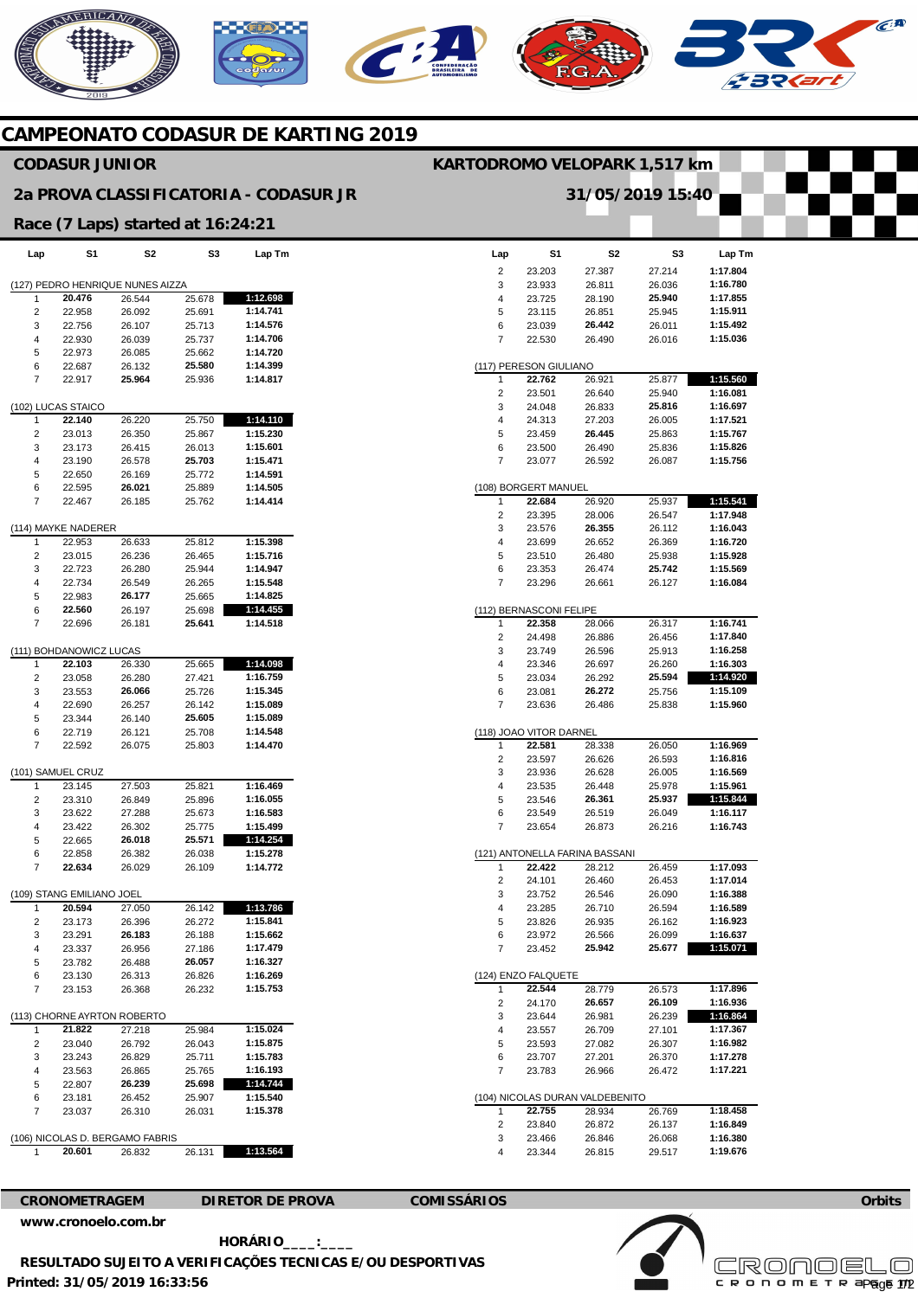# **AERICANO**



## **CAMPEONATO CODASUR DE KARTING 2019**

### **CODASUR JUNIOR**

#### **2a PROVA CLASSIFICATORIA - CODASUR JR**

#### **Race (7 Laps) started at 16:24:21**

| Lap                                 | S1                      | S2     | S3     | Lap Tm   |  |
|-------------------------------------|-------------------------|--------|--------|----------|--|
| PEDRO HENRIQUE NUNES AIZZA<br>(127) |                         |        |        |          |  |
| 1                                   | 20.476                  | 26.544 | 25.678 | 1:12.698 |  |
| 2                                   | 22.958                  | 26.092 | 25.691 | 1:14.741 |  |
| 3                                   | 22.756                  | 26.107 | 25.713 | 1:14.576 |  |
| 4                                   | 22.930                  | 26.039 | 25.737 | 1:14.706 |  |
| 5                                   | 22.973                  | 26.085 | 25.662 | 1:14.720 |  |
| 6                                   | 22.687                  | 26.132 | 25.580 | 1:14.399 |  |
| 7                                   | 22.917                  | 25.964 | 25.936 | 1:14.817 |  |
|                                     | (102) LUCAS STAICO      |        |        |          |  |
| 1                                   | 22.140                  | 26.220 | 25.750 | 1:14.110 |  |
| 2                                   | 23.013                  | 26.350 | 25.867 | 1:15.230 |  |
| 3                                   | 23.173                  | 26.415 | 26.013 | 1:15.601 |  |
| 4                                   | 23.190                  | 26.578 | 25.703 | 1:15.471 |  |
| 5                                   | 22.650                  | 26.169 | 25.772 | 1:14.591 |  |
| 6                                   | 22.595                  | 26.021 | 25.889 | 1:14.505 |  |
| 7                                   | 22.467                  | 26.185 | 25.762 | 1:14.414 |  |
|                                     | (114) MAYKE NADERER     |        |        |          |  |
| 1                                   | 22.953                  | 26.633 | 25.812 | 1:15.398 |  |
| 2                                   | 23.015                  | 26.236 | 26.465 | 1:15.716 |  |
| 3                                   | 22.723                  | 26.280 | 25.944 | 1:14.947 |  |
| 4                                   | 22.734                  | 26.549 | 26.265 | 1:15.548 |  |
| 5                                   | 22.983                  | 26.177 | 25.665 | 1:14.825 |  |
| 6                                   | 22.560                  | 26.197 | 25.698 | 1:14.455 |  |
| 7                                   | 22.696                  | 26.181 | 25.641 | 1:14.518 |  |
|                                     | (111) BOHDANOWICZ LUCAS |        |        |          |  |
| 1                                   | 22.103                  | 26.330 | 25.665 | 1:14.098 |  |
| 2                                   | 23.058                  | 26.280 | 27.421 | 1:16.759 |  |
| 3                                   | 23.553                  | 26.066 | 25.726 | 1:15.345 |  |
| 4                                   | 22.690                  | 26.257 | 26.142 | 1:15.089 |  |
| 5                                   | 23.344                  | 26.140 | 25.605 | 1:15.089 |  |
| 6                                   | 22.719                  | 26.121 | 25.708 | 1:14.548 |  |
| 7                                   | 22.592                  | 26.075 | 25.803 | 1:14.470 |  |
|                                     | (101) SAMUEL CRUZ       |        |        |          |  |
| 1                                   | 23.145                  | 27.503 | 25.821 | 1:16.469 |  |
| 2                                   | 23.310                  | 26.849 | 25.896 | 1:16.055 |  |
| 3                                   | 23.622                  | 27.288 | 25.673 | 1:16.583 |  |
| 4                                   | 23.422                  | 26.302 | 25.775 | 1:15.499 |  |
| 5                                   | 22.665                  | 26.018 | 25.571 | 1:14.254 |  |
| 6                                   | 22.858                  | 26.382 | 26.038 | 1:15.278 |  |
| 7                                   | 22.634                  | 26.029 | 26.109 | 1:14.772 |  |
| (109) STANG EMILIANO JOEL           |                         |        |        |          |  |
| 1                                   | 20.594                  | 27.050 | 26.142 | 1:13.786 |  |
| 2                                   | 23.173                  | 26.396 | 26.272 | 1:15.841 |  |
| 3                                   | 23.291                  | 26.183 | 26.188 | 1:15.662 |  |
| 4                                   | 23.337                  | 26.956 | 27.186 | 1:17.479 |  |
| 5                                   | 23.782                  | 26.488 | 26.057 | 1:16.327 |  |
| 6                                   | 23.130                  | 26.313 | 26.826 | 1:16.269 |  |
| 7                                   | 23.153                  | 26.368 | 26.232 | 1:15.753 |  |
| (113) CHORNE AYRTON ROBERTO         |                         |        |        |          |  |
| 1                                   | 21.822                  | 27.218 | 25.984 | 1:15.024 |  |
| 2                                   | 23.040                  | 26.792 | 26.043 | 1:15.875 |  |
| 3                                   | 23.243                  | 26.829 | 25.711 | 1:15.783 |  |
| 4                                   | 23.563                  | 26.865 | 25.765 | 1:16.193 |  |
| 5                                   | 22.807                  | 26.239 | 25.698 | 1:14.744 |  |
| 6                                   | 23.181                  | 26.452 | 25.907 | 1:15.540 |  |
| 7                                   | 23.037                  | 26.310 | 26.031 | 1:15.378 |  |
| (106) NICOLAS D. BERGAMO FABRIS     |                         |        |        |          |  |
|                                     | 20.601                  | 26.832 | 26.131 | 1:13.564 |  |
|                                     |                         |        |        |          |  |

|                     |                         | 31/05/2019 15:40                |                  |                      |
|---------------------|-------------------------|---------------------------------|------------------|----------------------|
|                     |                         |                                 |                  |                      |
|                     |                         |                                 |                  |                      |
| Lap                 | S1                      | S <sub>2</sub>                  | S3               | Lap Tm               |
| 2                   | 23.203                  | 27.387                          | 27.214           | 1:17.804             |
| 3                   | 23.933                  | 26.811                          | 26.036           | 1:16.780             |
| 4                   | 23.725                  | 28.190                          | 25.940           | 1:17.855             |
| 5                   | 23.115                  | 26.851                          | 25.945           | 1:15.911             |
| 6<br>$\overline{7}$ | 23.039                  | 26.442                          | 26.011           | 1:15.492             |
|                     | 22.530                  | 26.490                          | 26.016           | 1:15.036             |
|                     | (117) PERESON GIULIANO  |                                 |                  |                      |
| 1                   | 22.762                  | 26.921                          | 25.877           | 1:15.560             |
| 2                   | 23.501                  | 26.640                          | 25.940           | 1:16.081             |
| 3<br>4              | 24.048<br>24.313        | 26.833<br>27.203                | 25.816<br>26.005 | 1:16.697<br>1:17.521 |
| 5                   | 23.459                  | 26.445                          | 25.863           | 1:15.767             |
| 6                   | 23.500                  | 26.490                          | 25.836           | 1:15.826             |
| 7                   | 23.077                  | 26.592                          | 26.087           | 1:15.756             |
|                     |                         |                                 |                  |                      |
|                     | (108) BORGERT MANUEL    |                                 |                  |                      |
| 1                   | 22.684                  | 26.920                          | 25.937           | 1:15.541<br>1:17.948 |
| 2<br>3              | 23.395<br>23.576        | 28.006<br>26.355                | 26.547<br>26.112 | 1:16.043             |
| 4                   | 23.699                  | 26.652                          | 26.369           | 1:16.720             |
| 5                   | 23.510                  | 26.480                          | 25.938           | 1:15.928             |
| 6                   | 23.353                  | 26.474                          | 25.742           | 1:15.569             |
| 7                   | 23.296                  | 26.661                          | 26.127           | 1:16.084             |
|                     |                         |                                 |                  |                      |
| 1                   | (112) BERNASCONI FELIPE |                                 |                  |                      |
| 2                   | 22.358<br>24.498        | 28.066<br>26.886                | 26.317<br>26.456 | 1:16.741<br>1:17.840 |
| 3                   | 23.749                  | 26.596                          | 25.913           | 1:16.258             |
| 4                   | 23.346                  | 26.697                          | 26.260           | 1:16.303             |
| 5                   | 23.034                  | 26.292                          | 25.594           | 1:14.920             |
| 6                   | 23.081                  | 26.272                          | 25.756           | 1:15.109             |
| 7                   | 23.636                  | 26.486                          | 25.838           | 1:15.960             |
|                     | (118) JOAO VITOR DARNEL |                                 |                  |                      |
| 1                   | 22.581                  | 28.338                          | 26.050           | 1:16.969             |
| 2                   | 23.597                  | 26.626                          | 26.593           | 1:16.816             |
| 3                   | 23.936                  | 26.628                          | 26.005           | 1:16.569             |
| 4                   | 23.535                  | 26.448                          | 25.978           | 1:15.961             |
| 5                   | 23.546                  | 26.361                          | 25.937           | 1:15.844             |
| 6                   | 23.549                  | 26.519                          | 26.049           | 1:16.117             |
| 7                   | 23.654                  | 26.873                          | 26.216           | 1:16.743             |
|                     |                         | (121) ANTONELLA FARINA BASSANI  |                  |                      |
|                     | 22.422                  | 28.212                          | 26.459           | 1:17.093             |
| 2                   | 24.101                  | 26.460                          | 26.453           | 1:17.014             |
| 3                   | 23.752                  | 26.546                          | 26.090           | 1:16.388             |
| 4                   | 23.285                  | 26.710                          | 26.594           | 1:16.589             |
| 5                   | 23.826                  | 26.935                          | 26.162           | 1:16.923             |
| 6<br>7              | 23.972<br>23.452        | 26.566<br>25.942                | 26.099<br>25.677 | 1:16.637<br>1:15.071 |
|                     |                         |                                 |                  |                      |
|                     | (124) ENZO FALQUETE     |                                 |                  |                      |
| 1                   | 22.544                  | 28.779                          | 26.573           | 1:17.896             |
| 2                   | 24.170<br>23.644        | 26.657                          | 26.109<br>26.239 | 1:16.936             |
| 3<br>4              | 23.557                  | 26.981<br>26.709                | 27.101           | 1:16.864<br>1:17.367 |
| 5                   | 23.593                  | 27.082                          | 26.307           | 1:16.982             |
| 6                   | 23.707                  | 27.201                          | 26.370           | 1:17.278             |
| 7                   | 23.783                  | 26.966                          | 26.472           | 1:17.221             |
|                     |                         |                                 |                  |                      |
|                     |                         | (104) NICOLAS DURAN VALDEBENITO |                  |                      |
| 1<br>2              | 22.755<br>23.840        | 28.934                          | 26.769<br>26.137 | 1:18.458<br>1:16.849 |
| 3                   | 23.466                  | 26.872<br>26.846                | 26.068           | 1:16.380             |
| 4                   | 23.344                  | 26.815                          | 29.517           | 1:19.676             |

**KARTODROMO VELOPARK 1,517 km** 

**CRONOMETRAGEM DIRETOR DE PROVA COMISSÁRIOS [www.cronoelo.com.br](http://www.cronoelo.com.br)** 

 **HORÁRIO\_\_\_\_:\_\_\_\_** 



**Orbits** 



**Printed: 31/05/2019 16:33:56 RESULTADO SUJEITO A VERIFICAÇÕES TECNICAS E/OU DESPORTIVAS**